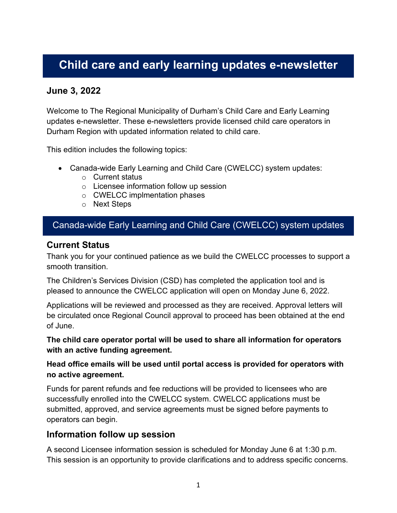# **Child care and early learning updates e-newsletter**

# **June 3, 2022**

Welcome to The Regional Municipality of Durham's Child Care and Early Learning updates e-newsletter. These e-newsletters provide licensed child care operators in Durham Region with updated information related to child care.

This edition includes the following topics:

- Canada-wide Early Learning and Child Care (CWELCC) system updates:
	- o Current status
	- o Licensee information follow up session
	- o CWELCC implmentation phases
	- o Next Steps

# Canada-wide Early Learning and Child Care (CWELCC) system updates

### **Current Status**

Thank you for your continued patience as we build the CWELCC processes to support a smooth transition.

The Children's Services Division (CSD) has completed the application tool and is pleased to announce the CWELCC application will open on Monday June 6, 2022.

Applications will be reviewed and processed as they are received. Approval letters will be circulated once Regional Council approval to proceed has been obtained at the end of June.

**The child care operator portal will be used to share all information for operators with an active funding agreement.** 

**Head office emails will be used until portal access is provided for operators with no active agreement.**

Funds for parent refunds and fee reductions will be provided to licensees who are successfully enrolled into the CWELCC system. CWELCC applications must be submitted, approved, and service agreements must be signed before payments to operators can begin.

### **Information follow up session**

A second Licensee information session is scheduled for Monday June 6 at 1:30 p.m. This session is an opportunity to provide clarifications and to address specific concerns.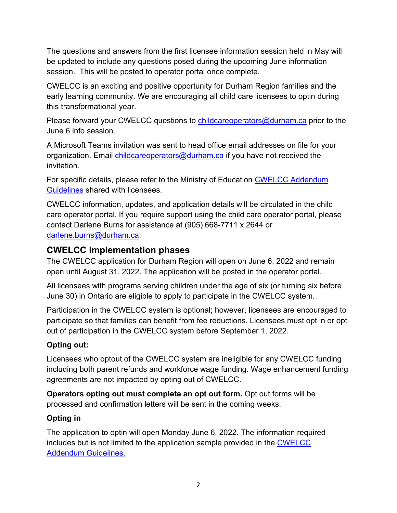The questions and answers from the first licensee information session held in May will be updated to include any questions posed during the upcoming June information session. This will be posted to operator portal once complete.

CWELCC is an exciting and positive opportunity for Durham Region families and the early learning community. We are encouraging all child care licensees to optin during this transformational year.

Please forward your CWELCC questions to *childcareoperators@durham.ca* prior to the June 6 info session.

A Microsoft Teams invitation was sent to head office email addresses on file for your organization. Email [childcareoperators@durham.ca](mailto:childcareoperators@durham.ca) if you have not received the invitation.

For specific details, please refer to the Ministry of Education CWELCC Addendum [Guidelines](https://efis.fma.csc.gov.on.ca/faab/Child%20Care/Guidelines/CWELCC_Addendum_April_2022.pdf) shared with licensees.

CWELCC information, updates, and application details will be circulated in the child care operator portal. If you require support using the child care operator portal, please contact Darlene Burns for assistance at (905) 668-7711 x 2644 or [darlene.burns@durham.ca.](mailto:darlene.burns@durham.ca)

# **CWELCC implementation phases**

The CWELCC application for Durham Region will open on June 6, 2022 and remain open until August 31, 2022. The application will be posted in the operator portal.

All licensees with programs serving children under the age of six (or turning six before June 30) in Ontario are eligible to apply to participate in the CWELCC system.

Participation in the CWELCC system is optional; however, licensees are encouraged to participate so that families can benefit from fee reductions. Licensees must opt in or opt out of participation in the CWELCC system before September 1, 2022.

## **Opting out:**

Licensees who optout of the CWELCC system are ineligible for any CWELCC funding including both parent refunds and workforce wage funding. Wage enhancement funding agreements are not impacted by opting out of CWELCC.

**Operators opting out must complete an opt out form.** Opt out forms will be processed and confirmation letters will be sent in the coming weeks.

## **Opting in**

The application to optin will open Monday June 6, 2022. The information required includes but is not limited to the application sample provided in the [CWELCC](https://efis.fma.csc.gov.on.ca/faab/Child%20Care/Guidelines/CWELCC_Addendum_April_2022.pdf)  [Addendum Guidelines.](https://efis.fma.csc.gov.on.ca/faab/Child%20Care/Guidelines/CWELCC_Addendum_April_2022.pdf)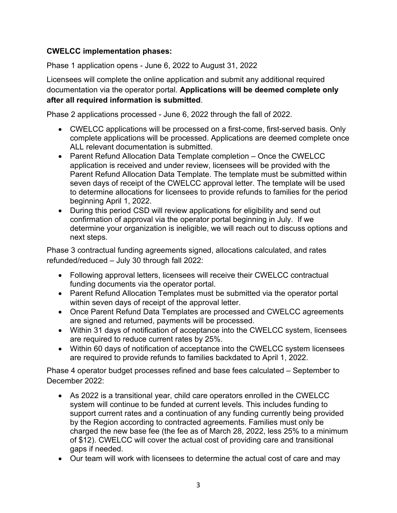## **CWELCC implementation phases:**

Phase 1 application opens - June 6, 2022 to August 31, 2022

Licensees will complete the online application and submit any additional required documentation via the operator portal. **Applications will be deemed complete only after all required information is submitted**.

Phase 2 applications processed - June 6, 2022 through the fall of 2022.

- CWELCC applications will be processed on a first-come, first-served basis. Only complete applications will be processed. Applications are deemed complete once ALL relevant documentation is submitted.
- Parent Refund Allocation Data Template completion Once the CWELCC application is received and under review, licensees will be provided with the Parent Refund Allocation Data Template. The template must be submitted within seven days of receipt of the CWELCC approval letter. The template will be used to determine allocations for licensees to provide refunds to families for the period beginning April 1, 2022.
- During this period CSD will review applications for eligibility and send out confirmation of approval via the operator portal beginning in July. If we determine your organization is ineligible, we will reach out to discuss options and next steps.

Phase 3 contractual funding agreements signed, allocations calculated, and rates refunded/reduced – July 30 through fall 2022:

- Following approval letters, licensees will receive their CWELCC contractual funding documents via the operator portal.
- Parent Refund Allocation Templates must be submitted via the operator portal within seven days of receipt of the approval letter.
- Once Parent Refund Data Templates are processed and CWELCC agreements are signed and returned, payments will be processed.
- Within 31 days of notification of acceptance into the CWELCC system, licensees are required to reduce current rates by 25%.
- Within 60 days of notification of acceptance into the CWELCC system licensees are required to provide refunds to families backdated to April 1, 2022.

Phase 4 operator budget processes refined and base fees calculated – September to December 2022:

- As 2022 is a transitional year, child care operators enrolled in the CWELCC system will continue to be funded at current levels. This includes funding to support current rates and a continuation of any funding currently being provided by the Region according to contracted agreements. Families must only be charged the new base fee (the fee as of March 28, 2022, less 25% to a minimum of \$12). CWELCC will cover the actual cost of providing care and transitional gaps if needed.
- Our team will work with licensees to determine the actual cost of care and may